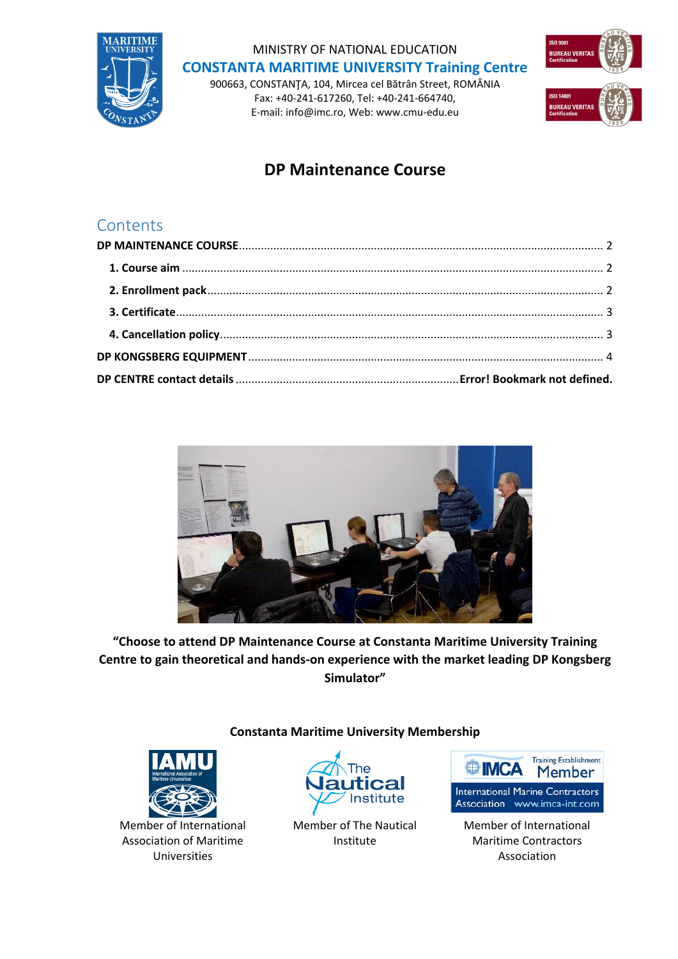

# MINISTRY OF NATIONAL EDUCATION **CONSTANTA MARITIME UNIVERSITY Training Centre**

900663, CONSTANŢA, 104, Mircea cel Bătrân Street, ROMÂNIA Fax: +40-241-617260, Tel: +40-241-664740, E-mail: info@imc.ro, Web: www.cmu-edu.eu



# **DP Maintenance Course**

## **Contents**



**"Choose to attend DP Maintenance Course at Constanta Maritime University Training Centre to gain theoretical and hands-on experience with the market leading DP Kongsberg Simulator"**

**Constanta Maritime University Membership**





Member of The Nautical Institute



Association www.imca-int.com

Member of International Maritime Contractors Association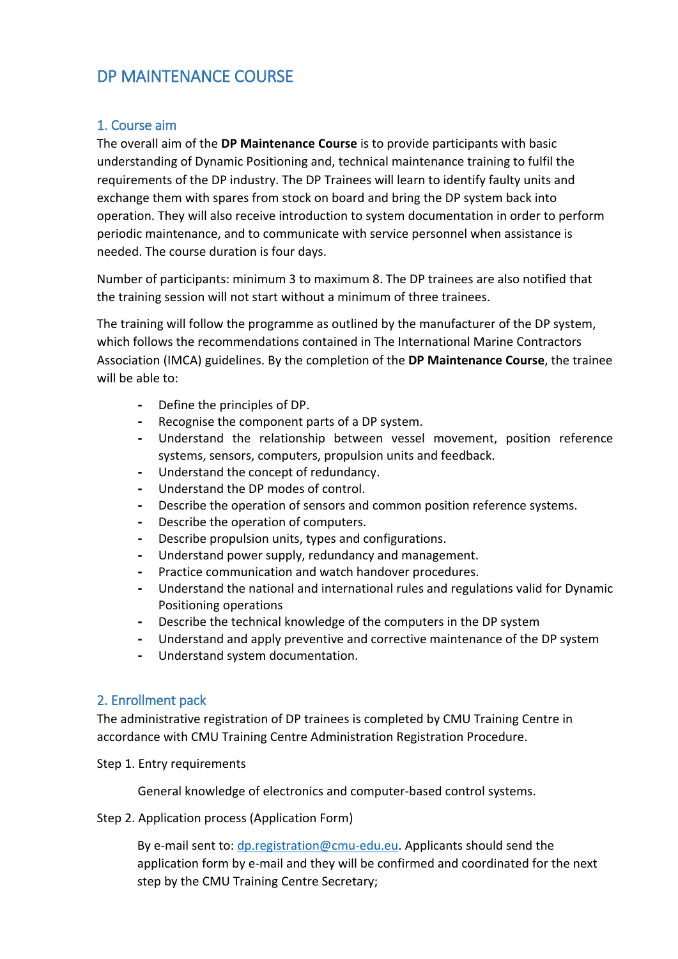## <span id="page-1-0"></span>DP MAINTENANCE COURSE

### <span id="page-1-1"></span>1. Course aim

The overall aim of the **DP Maintenance Course** is to provide participants with basic understanding of Dynamic Positioning and, technical maintenance training to fulfil the requirements of the DP industry. The DP Trainees will learn to identify faulty units and exchange them with spares from stock on board and bring the DP system back into operation. They will also receive introduction to system documentation in order to perform periodic maintenance, and to communicate with service personnel when assistance is needed. The course duration is four days.

Number of participants: minimum 3 to maximum 8. The DP trainees are also notified that the training session will not start without a minimum of three trainees.

The training will follow the programme as outlined by the manufacturer of the DP system, which follows the recommendations contained in The International Marine Contractors Association (IMCA) guidelines. By the completion of the **DP Maintenance Course**, the trainee will be able to:

- **-** Define the principles of DP.
- **-** Recognise the component parts of a DP system.
- **-** Understand the relationship between vessel movement, position reference systems, sensors, computers, propulsion units and feedback.
- **-** Understand the concept of redundancy.
- **-** Understand the DP modes of control.
- **-** Describe the operation of sensors and common position reference systems.
- **-** Describe the operation of computers.
- **-** Describe propulsion units, types and configurations.
- **-** Understand power supply, redundancy and management.
- **-** Practice communication and watch handover procedures.
- **-** Understand the national and international rules and regulations valid for Dynamic Positioning operations
- **-** Describe the technical knowledge of the computers in the DP system
- **-** Understand and apply preventive and corrective maintenance of the DP system
- **-** Understand system documentation.

### <span id="page-1-2"></span>2. Enrollment pack

The administrative registration of DP trainees is completed by CMU Training Centre in accordance with CMU Training Centre Administration Registration Procedure.

#### Step 1. Entry requirements

General knowledge of electronics and computer-based control systems.

#### Step 2. Application process (Application Form)

By e-mail sent to: [dp.registration@cmu-edu.eu.](mailto:dp.registration@cmu-edu.eu) Applicants should send the application form by e-mail and they will be confirmed and coordinated for the next step by the CMU Training Centre Secretary;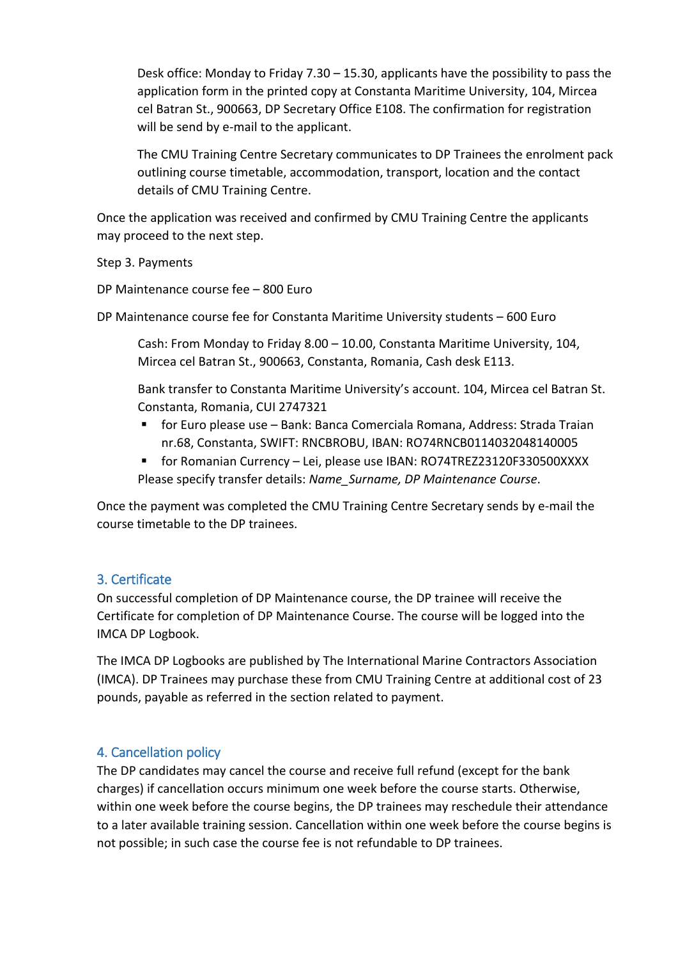Desk office: Monday to Friday 7.30 – 15.30, applicants have the possibility to pass the application form in the printed copy at Constanta Maritime University, 104, Mircea cel Batran St., 900663, DP Secretary Office E108. The confirmation for registration will be send by e-mail to the applicant.

The CMU Training Centre Secretary communicates to DP Trainees the enrolment pack outlining course timetable, accommodation, transport, location and the contact details of CMU Training Centre.

Once the application was received and confirmed by CMU Training Centre the applicants may proceed to the next step.

Step 3. Payments

DP Maintenance course fee – 800 Euro

DP Maintenance course fee for Constanta Maritime University students – 600 Euro

Cash: From Monday to Friday 8.00 – 10.00, Constanta Maritime University, 104, Mircea cel Batran St., 900663, Constanta, Romania, Cash desk E113.

Bank transfer to Constanta Maritime University's account. 104, Mircea cel Batran St. Constanta, Romania, CUI 2747321

- for Euro please use Bank: Banca Comerciala Romana, Address: Strada Traian nr.68, Constanta, SWIFT: RNCBROBU, IBAN: RO74RNCB0114032048140005
- for Romanian Currency Lei, please use IBAN: RO74TREZ23120F330500XXXX Please specify transfer details: *Name\_Surname, DP Maintenance Course*.

Once the payment was completed the CMU Training Centre Secretary sends by e-mail the course timetable to the DP trainees.

### <span id="page-2-0"></span>3. Certificate

On successful completion of DP Maintenance course, the DP trainee will receive the Certificate for completion of DP Maintenance Course. The course will be logged into the IMCA DP Logbook.

The IMCA DP Logbooks are published by The International Marine Contractors Association (IMCA). DP Trainees may purchase these from CMU Training Centre at additional cost of 23 pounds, payable as referred in the section related to payment.

### <span id="page-2-1"></span>4. Cancellation policy

The DP candidates may cancel the course and receive full refund (except for the bank charges) if cancellation occurs minimum one week before the course starts. Otherwise, within one week before the course begins, the DP trainees may reschedule their attendance to a later available training session. Cancellation within one week before the course begins is not possible; in such case the course fee is not refundable to DP trainees.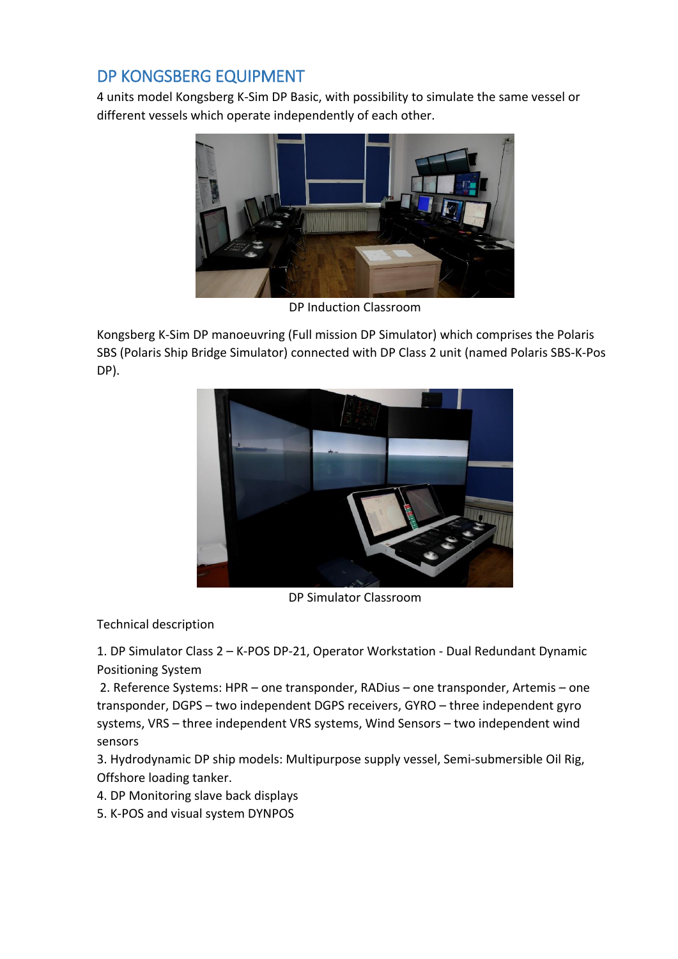## <span id="page-3-0"></span>DP KONGSBERG EQUIPMENT

4 units model Kongsberg K-Sim DP Basic, with possibility to simulate the same vessel or different vessels which operate independently of each other.



DP Induction Classroom

Kongsberg K-Sim DP manoeuvring (Full mission DP Simulator) which comprises the Polaris SBS (Polaris Ship Bridge Simulator) connected with DP Class 2 unit (named Polaris SBS-K-Pos DP).



DP Simulator Classroom

Technical description

1. DP Simulator Class 2 – K-POS DP-21, Operator Workstation - Dual Redundant Dynamic Positioning System

2. Reference Systems: HPR – one transponder, RADius – one transponder, Artemis – one transponder, DGPS – two independent DGPS receivers, GYRO – three independent gyro systems, VRS – three independent VRS systems, Wind Sensors – two independent wind sensors

3. Hydrodynamic DP ship models: Multipurpose supply vessel, Semi-submersible Oil Rig, Offshore loading tanker.

- 4. DP Monitoring slave back displays
- 5. K-POS and visual system DYNPOS